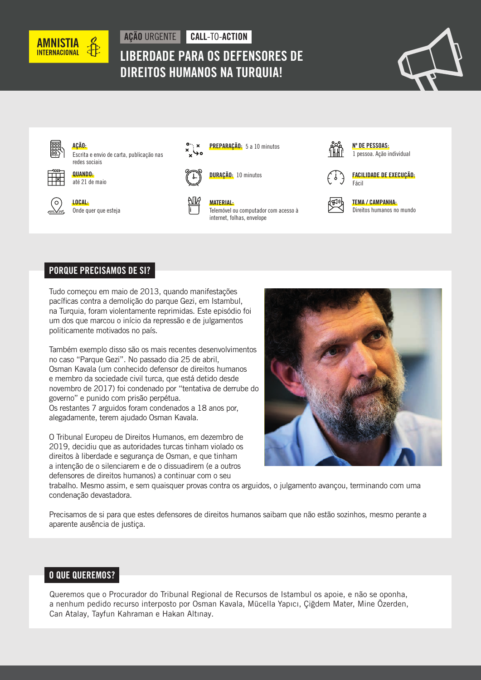

# AÇÃO URGENTE CALL-TO-ACTION LIBERDADE PARA OS DEFENSORES DE DIREITOS HUMANOS NA TURQUIA!





## PORQUE PRECISAMOS DE SI?

Tudo começou em maio de 2013, quando manifestações pacíficas contra a demolição do parque Gezi, em Istambul, na Turquia, foram violentamente reprimidas. Este episódio foi um dos que marcou o início da repressão e de julgamentos politicamente motivados no país.

Também exemplo disso são os mais recentes desenvolvimentos no caso "Parque Gezi". No passado dia 25 de abril, Osman Kavala (um conhecido defensor de direitos humanos e membro da sociedade civil turca, que está detido desde novembro de 2017) foi condenado por "tentativa de derrube do governo" e punido com prisão perpétua.

Os restantes 7 arguidos foram condenados a 18 anos por, alegadamente, terem ajudado Osman Kavala.

O Tribunal Europeu de Direitos Humanos, em dezembro de 2019, decidiu que as autoridades turcas tinham violado os direitos à liberdade e segurança de Osman, e que tinham a intenção de o silenciarem e de o dissuadirem (e a outros defensores de direitos humanos) a continuar com o seu



trabalho. Mesmo assim, e sem quaisquer provas contra os arguidos, o julgamento avançou, terminando com uma condenação devastadora.

Precisamos de si para que estes defensores de direitos humanos saibam que não estão sozinhos, mesmo perante a aparente ausência de justiça.

## O QUE QUEREMOS?

Queremos que o Procurador do Tribunal Regional de Recursos de Istambul os apoie, e não se oponha, a nenhum pedido recurso interposto por Osman Kavala, Mücella Yapıcı, Çiğdem Mater, Mine Özerden, Can Atalay, Tayfun Kahraman e Hakan Altınay.